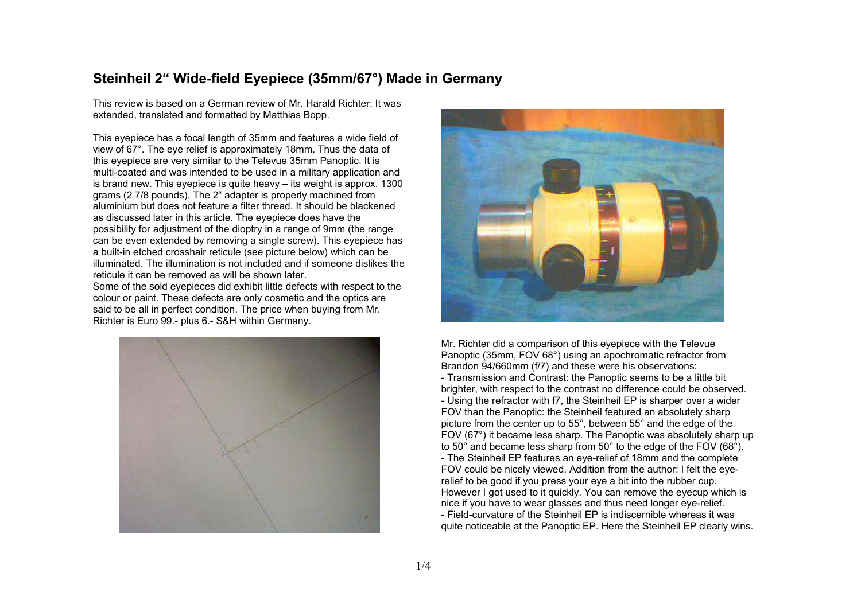## **Steinheil 2" Wide-field Eyepiece (35mm/67°) Made in Germany**

This review is based on a German review of Mr. Harald Richter: It was extended, translated and formatted by Matthias Bopp.

This eyepiece has a focal length of 35mm and features a wide field of view of 67°. The eye relief is approximately 18mm. Thus the data of this eyepiece are very similar to the Televue 35mm Panoptic. It is multi-coated and was intended to be used in a military application and is brand new. This eyepiece is quite heavy – its weight is approx. 1300 grams (2 7/8 pounds). The 2" adapter is properly machined from aluminium but does not feature a filter thread. It should be blackened as discussed later in this article. The eyepiece does have the possibility for adjustment of the dioptry in a range of 9mm (the range can be even extended by removing a single screw). This eyepiece has a built-in etched crosshair reticule (see picture below) which can be illuminated. The illumination is not included and if someone dislikes the reticule it can be removed as will be shown later. Some of the sold eyepieces did exhibit little defects with respect to the colour or paint. These defects are only cosmetic and the optics are said to be all in perfect condition. The price when buying from Mr.

Richter is Euro 99.- plus 6.- S&H within Germany.





Mr. Richter did a comparison of this eyepiece with the Televue Panoptic (35mm, FOV 68°) using an apochromatic refractor from Brandon 94/660mm (f/7) and these were his observations: - Transmission and Contrast: the Panoptic seems to be a little bit brighter, with respect to the contrast no difference could be observed. - Using the refractor with f7, the Steinheil EP is sharper over a wider FOV than the Panoptic: the Steinheil featured an absolutely sharp picture from the center up to 55°, between 55° and the edge of the FOV (67°) it became less sharp. The Panoptic was absolutely sharp up to 50° and became less sharp from 50° to the edge of the FOV (68°). - The Steinheil EP features an eye-relief of 18mm and the complete FOV could be nicely viewed. Addition from the author: I felt the eyerelief to be good if you press your eye a bit into the rubber cup. However I got used to it quickly. You can remove the eyecup which is nice if you have to wear glasses and thus need longer eye-relief. - Field-curvature of the Steinheil EP is indiscernible whereas it was quite noticeable at the Panoptic EP. Here the Steinheil EP clearly wins.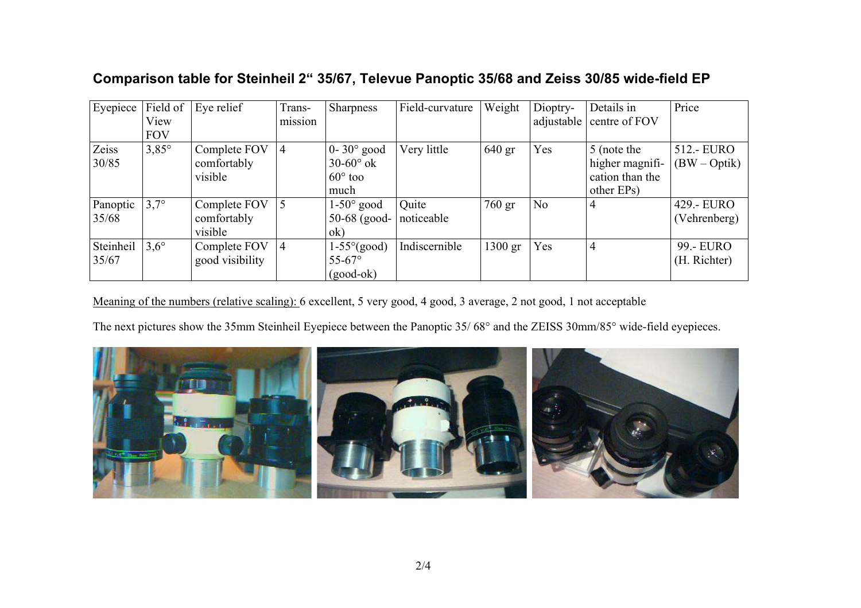| Eyepiece  |               | Field of $ Eye$ relief | Trans-  | Sharpness                   | Field-curvature | Weight    | Dioptry- | Details in               | Price          |
|-----------|---------------|------------------------|---------|-----------------------------|-----------------|-----------|----------|--------------------------|----------------|
|           | View          |                        | mission |                             |                 |           |          | adjustable centre of FOV |                |
|           | <b>FOV</b>    |                        |         |                             |                 |           |          |                          |                |
| Zeiss     | $3,85^\circ$  | Complete FOV           | 4       | $0-30^\circ$ good           | Very little     | $640$ gr  | Yes      | 5 (note the              | 512.- EURO     |
| 30/85     |               | comfortably            |         | $30-60^\circ$ ok            |                 |           |          | higher magnifi-          | $(BW - Optik)$ |
|           |               | visible                |         | $60^\circ$ too              |                 |           |          | cation than the          |                |
|           |               |                        |         | much                        |                 |           |          | other EPs)               |                |
| Panoptic  | $3,7^\circ$   | Complete FOV           | 5       | $1-50^{\circ}$ good         | Quite           | 760 gr    | No       | 4                        | 429.- EURO     |
| 35/68     |               | comfortably            |         | $50-68$ (good- noticeable   |                 |           |          |                          | (Vehrenberg)   |
|           |               | visible                |         | ok)                         |                 |           |          |                          |                |
| Steinheil | $3,6^{\circ}$ | Complete FOV           | 4       | $1-55^{\circ}(\text{good})$ | Indiscernible   | $1300$ gr | Yes      | $\overline{4}$           | 99.- EURO      |
| 35/67     |               | good visibility        |         | $55 - 67^{\circ}$           |                 |           |          |                          | (H. Richter)   |
|           |               |                        |         | $(good-ok)$                 |                 |           |          |                          |                |

## **Comparison table for Steinheil 2" 35/67, Televue Panoptic 35/68 and Zeiss 30/85 wide-field EP**

Meaning of the numbers (relative scaling): 6 excellent, 5 very good, 4 good, 3 average, 2 not good, 1 not acceptable

The next pictures show the 35mm Steinheil Eyepiece between the Panoptic 35/ 68° and the ZEISS 30mm/85° wide-field eyepieces.

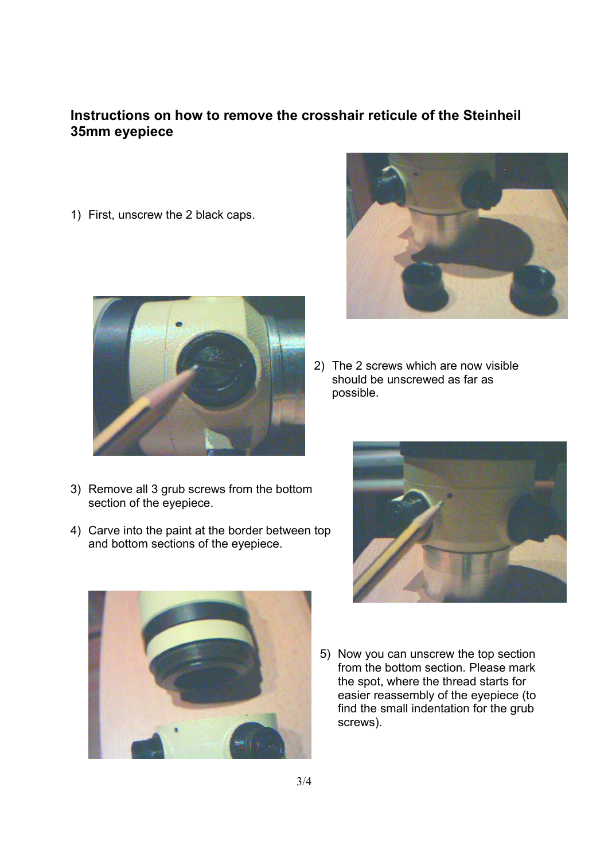## **Instructions on how to remove the crosshair reticule of the Steinheil 35mm eyepiece**

1) First, unscrew the 2 black caps.



- 3) Remove all 3 grub screws from the bottom section of the eyepiece.
- 4) Carve into the paint at the border between top and bottom sections of the eyepiece.





2) The 2 screws which are now visible should be unscrewed as far as possible.



5) Now you can unscrew the top section from the bottom section. Please mark the spot, where the thread starts for easier reassembly of the eyepiece (to find the small indentation for the grub screws).